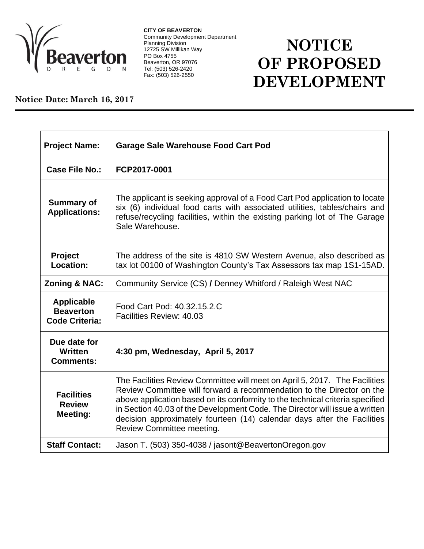

**CITY OF BEAVERTON** Community Development Department Planning Division 12725 SW Millikan Way PO Box 4755 Beaverton, OR 97076 Tel: (503) 526-2420 Fax: (503) 526-2550

## **NOTICE OF PROPOSED DEVELOPMENT**

## **Notice Date: March 16, 2017**

| <b>Project Name:</b>                                           | <b>Garage Sale Warehouse Food Cart Pod</b>                                                                                                                                                                                                                                                                                                                                                                                  |
|----------------------------------------------------------------|-----------------------------------------------------------------------------------------------------------------------------------------------------------------------------------------------------------------------------------------------------------------------------------------------------------------------------------------------------------------------------------------------------------------------------|
| Case File No.:                                                 | FCP2017-0001                                                                                                                                                                                                                                                                                                                                                                                                                |
| <b>Summary of</b><br><b>Applications:</b>                      | The applicant is seeking approval of a Food Cart Pod application to locate<br>six (6) individual food carts with associated utilities, tables/chairs and<br>refuse/recycling facilities, within the existing parking lot of The Garage<br>Sale Warehouse.                                                                                                                                                                   |
| <b>Project</b><br>Location:                                    | The address of the site is 4810 SW Western Avenue, also described as<br>tax lot 00100 of Washington County's Tax Assessors tax map 1S1-15AD.                                                                                                                                                                                                                                                                                |
| <b>Zoning &amp; NAC:</b>                                       | Community Service (CS) / Denney Whitford / Raleigh West NAC                                                                                                                                                                                                                                                                                                                                                                 |
| <b>Applicable</b><br><b>Beaverton</b><br><b>Code Criteria:</b> | Food Cart Pod: 40.32.15.2.C<br>Facilities Review: 40.03                                                                                                                                                                                                                                                                                                                                                                     |
| Due date for<br>Written<br><b>Comments:</b>                    | 4:30 pm, Wednesday, April 5, 2017                                                                                                                                                                                                                                                                                                                                                                                           |
| <b>Facilities</b><br><b>Review</b><br><b>Meeting:</b>          | The Facilities Review Committee will meet on April 5, 2017. The Facilities<br>Review Committee will forward a recommendation to the Director on the<br>above application based on its conformity to the technical criteria specified<br>in Section 40.03 of the Development Code. The Director will issue a written<br>decision approximately fourteen (14) calendar days after the Facilities<br>Review Committee meeting. |
| <b>Staff Contact:</b>                                          | Jason T. (503) 350-4038 / jasont@BeavertonOregon.gov                                                                                                                                                                                                                                                                                                                                                                        |